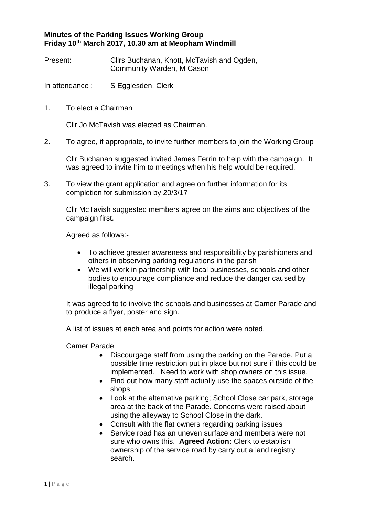## **Minutes of the Parking Issues Working Group Friday 10th March 2017, 10.30 am at Meopham Windmill**

Present: Cllrs Buchanan, Knott, McTavish and Ogden, Community Warden, M Cason

In attendance : S Egglesden, Clerk

1. To elect a Chairman

Cllr Jo McTavish was elected as Chairman.

2. To agree, if appropriate, to invite further members to join the Working Group

Cllr Buchanan suggested invited James Ferrin to help with the campaign. It was agreed to invite him to meetings when his help would be required.

3. To view the grant application and agree on further information for its completion for submission by 20/3/17

Cllr McTavish suggested members agree on the aims and objectives of the campaign first.

Agreed as follows:-

- To achieve greater awareness and responsibility by parishioners and others in observing parking regulations in the parish
- We will work in partnership with local businesses, schools and other bodies to encourage compliance and reduce the danger caused by illegal parking

It was agreed to to involve the schools and businesses at Camer Parade and to produce a flyer, poster and sign.

A list of issues at each area and points for action were noted.

Camer Parade

- Discourgage staff from using the parking on the Parade. Put a possible time restriction put in place but not sure if this could be implemented. Need to work with shop owners on this issue.
- Find out how many staff actually use the spaces outside of the shops
- Look at the alternative parking; School Close car park, storage area at the back of the Parade. Concerns were raised about using the alleyway to School Close in the dark.
- Consult with the flat owners regarding parking issues
- Service road has an uneven surface and members were not sure who owns this. **Agreed Action:** Clerk to establish ownership of the service road by carry out a land registry search.